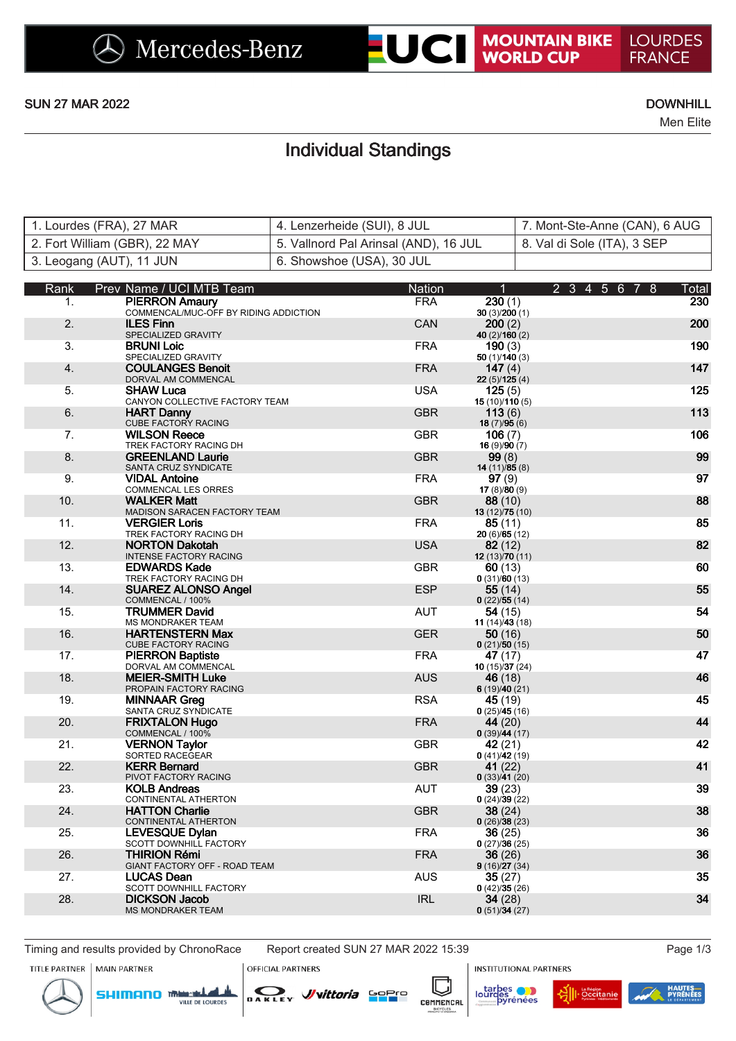## **UCI MOUNTAIN BIKE**

Men Elite

## Individual Standings

| 1. Lourdes (FRA), 27 MAR      | └ 4. Lenzerheide (SUI), 8 JUL         | 7. Mont-Ste-Anne (CAN), 6 AUG |
|-------------------------------|---------------------------------------|-------------------------------|
| 2. Fort William (GBR), 22 MAY | 5. Vallnord Pal Arinsal (AND), 16 JUL | 8. Val di Sole (ITA), 3 SEP   |
| 3. Leogang (AUT), 11 JUN      | 6. Showshoe (USA), 30 JUL             |                               |

| Rank           | Prev Name / UCI MTB Team                                       | <b>Nation</b> | $\overline{1}$                 | 2 3 4 5 6 7 8<br>Total |
|----------------|----------------------------------------------------------------|---------------|--------------------------------|------------------------|
| 1 <sub>1</sub> | <b>PIERRON Amaury</b><br>COMMENCAL/MUC-OFF BY RIDING ADDICTION | <b>FRA</b>    | 230(1)<br>30(3)/200(1)         | 230                    |
| 2.             | <b>ILES Finn</b><br>SPECIALIZED GRAVITY                        | <b>CAN</b>    | 200(2)<br>40 (2)/160 (2)       | 200                    |
| 3.             | <b>BRUNI Loic</b><br>SPECIALIZED GRAVITY                       | <b>FRA</b>    | 190(3)<br>50(1)/140(3)         | 190                    |
| 4.             | <b>COULANGES Benoit</b><br>DORVAL AM COMMENCAL                 | <b>FRA</b>    | 147 $(4)$<br>22(5)/125(4)      | 147                    |
| 5.             | <b>SHAW Luca</b><br>CANYON COLLECTIVE FACTORY TEAM             | <b>USA</b>    | 125(5)<br>15 (10)/110 (5)      | 125                    |
| 6.             | <b>HART Danny</b><br><b>CUBE FACTORY RACING</b>                | <b>GBR</b>    | 113(6)<br>18(7)/95(6)          | 113                    |
| 7.             | <b>WILSON Reece</b><br>TREK FACTORY RACING DH                  | <b>GBR</b>    | 106(7)<br>16(9)/90(7)          | 106                    |
| 8.             | <b>GREENLAND Laurie</b><br>SANTA CRUZ SYNDICATE                | <b>GBR</b>    | 99(8)<br>14(11)/85(8)          | 99                     |
| 9.             | <b>VIDAL Antoine</b><br><b>COMMENCAL LES ORRES</b>             | <b>FRA</b>    | 97(9)<br>17(8)/80(9)           | 97                     |
| 10.            | <b>WALKER Matt</b><br>MADISON SARACEN FACTORY TEAM             | <b>GBR</b>    | 88(10)<br>13 (12)/75 (10)      | 88                     |
| 11.            | <b>VERGIER Loris</b><br>TREK FACTORY RACING DH                 | <b>FRA</b>    | 85(11)<br>20(6)/65(12)         | 85                     |
| 12.            | <b>NORTON Dakotah</b><br><b>INTENSE FACTORY RACING</b>         | <b>USA</b>    | 82(12)<br>12(13)/70(11)        | 82                     |
| 13.            | <b>EDWARDS Kade</b><br>TREK FACTORY RACING DH                  | <b>GBR</b>    | 60(13)<br>0(31)/60(13)         | 60                     |
| 14.            | <b>SUAREZ ALONSO Angel</b><br>COMMENCAL / 100%                 | <b>ESP</b>    | 55 (14)<br>0(22)/55(14)        | 55                     |
| 15.            | <b>TRUMMER David</b><br><b>MS MONDRAKER TEAM</b>               | <b>AUT</b>    | 54 (15)<br>11(14)/43(18)       | 54                     |
| 16.            | <b>HARTENSTERN Max</b><br>CUBE FACTORY RACING                  | <b>GER</b>    | 50(16)<br>0(21)/50(15)         | 50                     |
| 17.            | <b>PIERRON Baptiste</b><br>DORVAL AM COMMENCAL                 | <b>FRA</b>    | 47 (17)<br>10(15)/37(24)       | 47                     |
| 18.            | <b>MEIER-SMITH Luke</b><br>PROPAIN FACTORY RACING              | <b>AUS</b>    | 46 (18)<br>6(19)/40(21)        | 46                     |
| 19.            | <b>MINNAAR Greg</b><br>SANTA CRUZ SYNDICATE                    | <b>RSA</b>    | 45 (19)<br>0(25)/45(16)        | 45                     |
| 20.            | <b>FRIXTALON Hugo</b><br>COMMENCAL / 100%                      | <b>FRA</b>    | 44 (20)<br>0(39)/44(17)        | 44                     |
| 21.            | <b>VERNON Taylor</b><br>SORTED RACEGEAR                        | <b>GBR</b>    | 42 (21)<br>0(41)/42(19)        | 42                     |
| 22.            | <b>KERR Bernard</b><br>PIVOT FACTORY RACING                    | <b>GBR</b>    | 41 $(22)$<br>0(33)/41(20)      | 41                     |
| 23.            | <b>KOLB Andreas</b><br>CONTINENTAL ATHERTON                    | <b>AUT</b>    | 39(23)<br>0(24)/39(22)         | 39                     |
| 24.            | <b>HATTON Charlie</b><br>CONTINENTAL ATHERTON                  | <b>GBR</b>    | 38 (24)<br>0(26)/38(23)        | 38                     |
| 25.            | <b>LEVESQUE Dylan</b><br>SCOTT DOWNHILL FACTORY                | <b>FRA</b>    | <b>36</b> (25)<br>0(27)/36(25) | 36                     |
| 26.            | <b>THIRION Rémi</b><br>GIANT FACTORY OFF - ROAD TEAM           | <b>FRA</b>    | 36 (26)<br>9(16)/27(34)        | 36                     |
| 27.            | <b>LUCAS Dean</b><br>SCOTT DOWNHILL FACTORY                    | <b>AUS</b>    | 35 (27)<br>0(42)/35(26)        | 35                     |
| 28.            | <b>DICKSON Jacob</b><br><b>MS MONDRAKER TEAM</b>               | <b>IRL</b>    | 34 (28)<br>0(51)/34(27)        | 34                     |

Timing and results provided by ChronoRace Report created SUN 27 MAR 2022 15:39 Page 1/3

**SHIMANO** The DE LOURDES

W vittoria Sopro



**OFFICIAL PARTNERS** 

DAKLEY

**INSTITUTIONAL PARTNERS** 



ℾ

ز



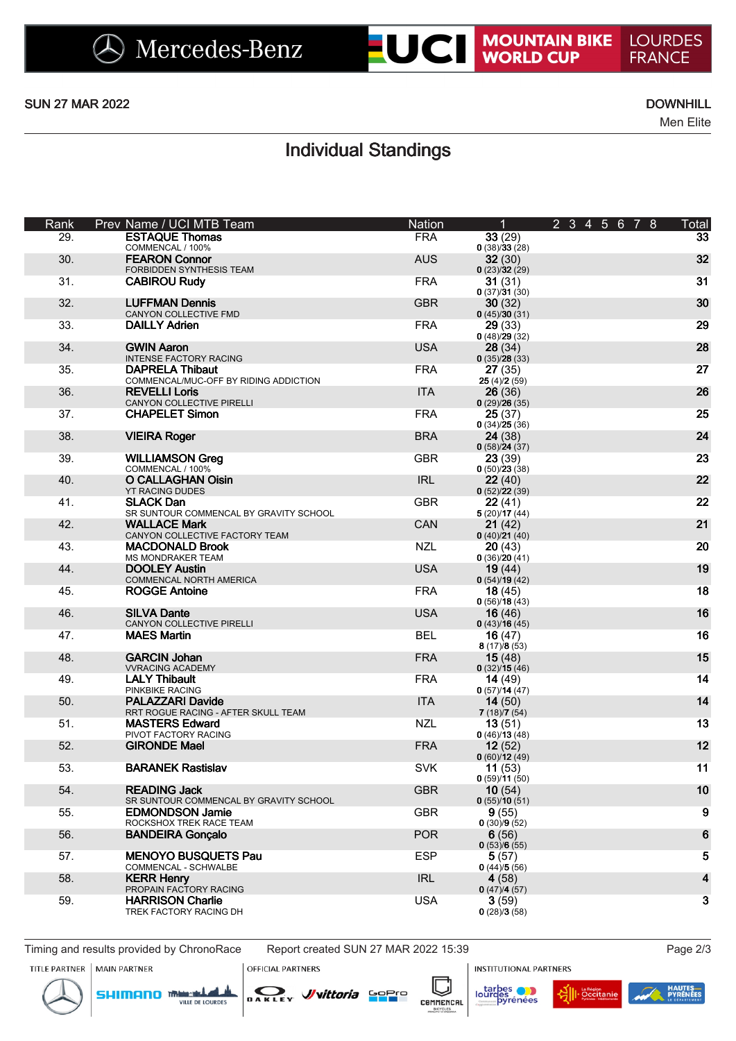**LOURDES** 

**FRANCE** 

Men Elite

## Individual Standings

| Rank | Prev Name / UCI MTB Team                                        | Nation     | 1                         | 2345678 | Total        |
|------|-----------------------------------------------------------------|------------|---------------------------|---------|--------------|
| 29.  | <b>ESTAQUE Thomas</b><br>COMMENCAL / 100%                       | <b>FRA</b> | 33(29)<br>0(38)/33(28)    |         | 33           |
| 30.  | <b>FEARON Connor</b><br>FORBIDDEN SYNTHESIS TEAM                | <b>AUS</b> | 32(30)<br>0(23)/32(29)    |         | 32           |
| 31.  | <b>CABIROU Rudy</b>                                             | <b>FRA</b> | 31(31)<br>0(37)/31(30)    |         | 31           |
| 32.  | <b>LUFFMAN Dennis</b><br>CANYON COLLECTIVE FMD                  | <b>GBR</b> | 30(32)<br>0(45)/30(31)    |         | 30           |
| 33.  | <b>DAILLY Adrien</b>                                            | <b>FRA</b> | 29(33)<br>0(48)/29(32)    |         | 29           |
| 34.  | <b>GWIN Aaron</b><br><b>INTENSE FACTORY RACING</b>              | <b>USA</b> | 28(34)<br>0(35)/28(33)    |         | 28           |
| 35.  | <b>DAPRELA Thibaut</b><br>COMMENCAL/MUC-OFF BY RIDING ADDICTION | <b>FRA</b> | 27(35)<br>25(4)/2(59)     |         | 27           |
| 36.  | <b>REVELLI Loris</b><br>CANYON COLLECTIVE PIRELLI               | <b>ITA</b> | 26(36)<br>0(29)/26(35)    |         | 26           |
| 37.  | <b>CHAPELET Simon</b>                                           | <b>FRA</b> | 25(37)<br>0(34)/25(36)    |         | 25           |
| 38.  | <b>VIEIRA Roger</b>                                             | <b>BRA</b> | 24(38)<br>0(58)/24(37)    |         | 24           |
| 39.  | <b>WILLIAMSON Greg</b><br>COMMENCAL / 100%                      | <b>GBR</b> | 23(39)<br>0(50)/23(38)    |         | 23           |
| 40.  | <b>O CALLAGHAN Oisin</b><br><b>YT RACING DUDES</b>              | <b>IRL</b> | 22(40)<br>0(52)/22(39)    |         | 22           |
| 41.  | <b>SLACK Dan</b><br>SR SUNTOUR COMMENCAL BY GRAVITY SCHOOL      | <b>GBR</b> | 22(41)<br>5(20)/17(44)    |         | 22           |
| 42.  | <b>WALLACE Mark</b><br>CANYON COLLECTIVE FACTORY TEAM           | CAN        | 21(42)<br>0(40)/21(40)    |         | 21           |
| 43.  | <b>MACDONALD Brook</b><br><b>MS MONDRAKER TEAM</b>              | <b>NZL</b> | 20(43)<br>0(36)/20(41)    |         | 20           |
| 44.  | <b>DOOLEY Austin</b><br>COMMENCAL NORTH AMERICA                 | <b>USA</b> | 19(44)<br>0(54)/19(42)    |         | 19           |
| 45.  | <b>ROGGE Antoine</b>                                            | <b>FRA</b> | 18(45)<br>0(56)/18(43)    |         | 18           |
| 46.  | <b>SILVA Dante</b><br>CANYON COLLECTIVE PIRELLI                 | <b>USA</b> | 16(46)<br>0(43)/16(45)    |         | 16           |
| 47.  | <b>MAES Martin</b>                                              | <b>BEL</b> | 16(47)<br>8(17)/8(53)     |         | 16           |
| 48.  | <b>GARCIN Johan</b><br><b>VVRACING ACADEMY</b>                  | <b>FRA</b> | 15(48)<br>0(32)/15(46)    |         | 15           |
| 49.  | <b>LALY Thibault</b><br>PINKBIKE RACING                         | <b>FRA</b> | 14 $(49)$<br>0(57)/14(47) |         | 14           |
| 50.  | PALAZZARI Davide<br>RRT ROGUE RACING - AFTER SKULL TEAM         | <b>ITA</b> | 14(50)<br>7(18)/7(54)     |         | 14           |
| 51.  | <b>MASTERS Edward</b><br>PIVOT FACTORY RACING                   | <b>NZL</b> | 13(51)<br>0(46)/13(48)    |         | 13           |
| 52.  | <b>GIRONDE Mael</b>                                             | <b>FRA</b> | 12(52)<br>0(60)/12(49)    |         | 12           |
| 53.  | <b>BARANEK Rastislav</b>                                        | <b>SVK</b> | 11(53)<br>0(59)/11(50)    |         | 11           |
| 54.  | <b>READING Jack</b><br>SR SUNTOUR COMMENCAL BY GRAVITY SCHOOL   | <b>GBR</b> | 10(54)<br>0(55)/10(51)    |         | 10           |
| 55.  | <b>EDMONDSON Jamie</b><br>ROCKSHOX TREK RACE TEAM               | <b>GBR</b> | 9(55)<br>0(30)/9(52)      |         | 9            |
| 56.  | <b>BANDEIRA Gonçalo</b>                                         | <b>POR</b> | 6(56)<br>0(53)/6(55)      |         | 6            |
| 57.  | <b>MENOYO BUSQUETS Pau</b><br>COMMENCAL - SCHWALBE              | <b>ESP</b> | 5(57)<br>0(44)/5(56)      |         | 5            |
| 58.  | <b>KERR Henry</b><br>PROPAIN FACTORY RACING                     | <b>IRL</b> | 4(58)<br>0(47)/4(57)      |         | 4            |
| 59.  | <b>HARRISON Charlie</b><br>TREK FACTORY RACING DH               | <b>USA</b> | 3(59)<br>0(28)/3(58)      |         | $\mathbf{3}$ |

Timing and results provided by ChronoRace Report created SUN 27 MAR 2022 15:39 Page 2/3 TITLE PARTNER | MAIN PARTNER

**OFFICIAL PARTNERS** 

**INSTITUTIONAL PARTNERS** 







ℾ

ز